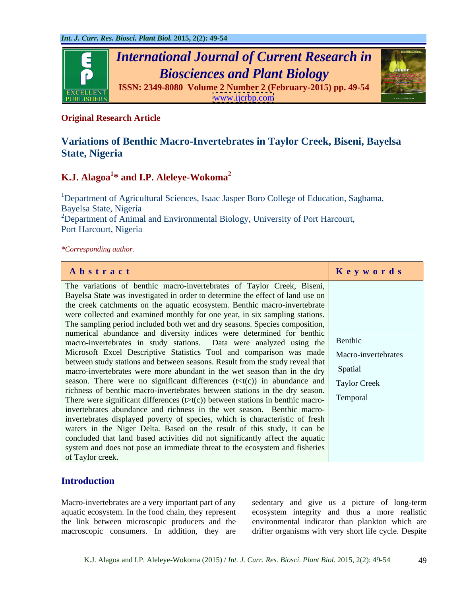

# **Original Research Article**

# **Variations of Benthic Macro-Invertebrates in Taylor Creek, Biseni, Bayelsa State, Nigeria**

# **K.J. Alagoa<sup>1</sup> \* and I.P. Aleleye-Wokoma2**

<sup>1</sup>Department of Agricultural Sciences, Isaac Jasper Boro College of Education, Sagbama, Bayelsa State, Nigeria <sup>2</sup>Department of Animal and Environmental Biology, University of Port Harcourt, Port Harcourt, Nigeria

*\*Corresponding author.*

| Abstract                                                                                                  | Keywords |
|-----------------------------------------------------------------------------------------------------------|----------|
| The variations of benthic macro-invertebrates of Taylor Creek, Biseni,                                    |          |
| Bayelsa State was investigated in order to determine the effect of land use on                            |          |
| the creek catchments on the aquatic ecosystem. Benthic macro-invertebrate                                 |          |
| were collected and examined monthly for one year, in six sampling stations.                               |          |
| The sampling period included both wet and dry seasons. Species composition,                               |          |
| numerical abundance and diversity indices were determined for benthic                                     |          |
| macro-invertebrates in study stations. Data were analyzed using the Benthic                               |          |
| Microsoft Excel Descriptive Statistics Tool and comparison was made   Macro-invertebrates                 |          |
| between study stations and between seasons. Result from the study reveal that                             |          |
| macro-invertebrates were more abundant in the wet season than in the dry Spatial                          |          |
| season. There were no significant differences $(t < t(c))$ in abundance and $\boxed{\text{Taylor Creek}}$ |          |
| richness of benthic macro-invertebrates between stations in the dry season.                               |          |
| There were significant differences $(t>t(c))$ between stations in benthic macro-                          | Temporal |
| invertebrates abundance and richness in the wet season. Benthic macro-                                    |          |
| invertebrates displayed poverty of species, which is characteristic of fresh                              |          |
| waters in the Niger Delta. Based on the result of this study, it can be                                   |          |
| concluded that land based activities did not significantly affect the aquatic                             |          |
| system and does not pose an immediate threat to the ecosystem and fisheries                               |          |
| of Taylor creek.                                                                                          |          |

# **Introduction**

aquatic ecosystem. In the food chain, they represent macroscopic consumers. In addition, they are

Macro-invertebrates are a very important part of any sedentary and give us a picture of long-term the link between microscopic producers and the environmental indicator than plankton which are ecosystem integrity and thus a more realistic drifter organisms with very short life cycle. Despite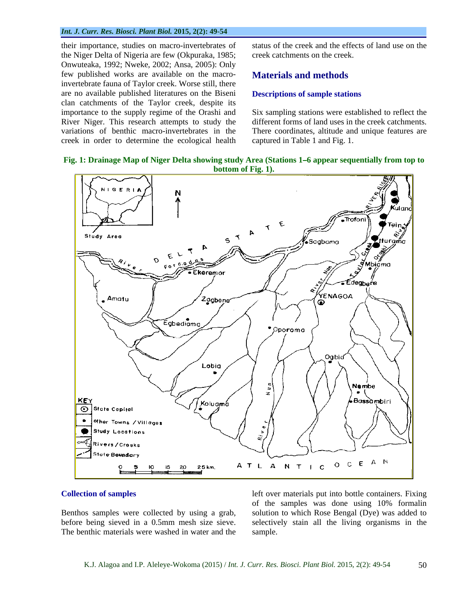#### *Int. J. Curr. Res. Biosci. Plant Biol.* **2015, 2(2): 49-54**

their importance, studies on macro-invertebrates of the Niger Delta of Nigeria are few (Okpuraka, 1985; Onwuteaka, 1992; Nweke, 2002; Ansa, 2005): Only few published works are available on the macroinvertebrate fauna of Taylor creek. Worse still, there are no available published literatures on the Biseni clan catchments of the Taylor creek, despite its River Niger. This research attempts to study the creek in order to determine the ecological health status of the creek and the effects of land use on the creek catchments on the creek.

# **Materials and methods**

### **Descriptions of sample stations**

importance to the supply regime of the Orashi and Six sampling stations were established to reflect the variations of benthic macro-invertebrates in the There coordinates, altitude and unique features are different forms of land uses in the creek catchments. captured in Table 1 and Fig. 1.

### **Fig. 1: Drainage Map of Niger Delta showing study Area (Stations 1 6 appear sequentially from top to bottom of Fig. 1).**



#### **Collection of samples**

Benthos samples were collected by using a grab, The benthic materials were washed in water and the

before being sieved in a 0.5mm mesh size sieve. selectively stain all the living organisms in the left over materials put into bottle containers. Fixing of the samples was done using 10% formalin solution to which Rose Bengal (Dye) was added to sample.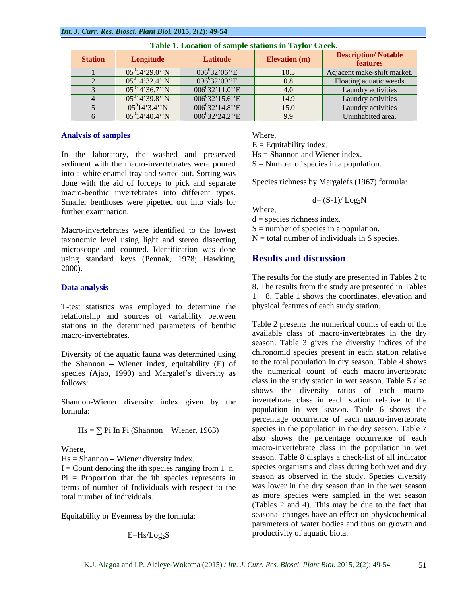| <b>Station</b> | Longitude          | Latitude            | Elevation (m) | <b>Description/Notable</b><br><b>features</b> |
|----------------|--------------------|---------------------|---------------|-----------------------------------------------|
|                | $05^014'29.0''N$   | $006^{0}32'06''E$   | 10.5          | Adjacent make-shift market.                   |
|                | $05^{0}14'32.4''N$ | $006^{0}32'09''E$   | 0.8           | Floating aquatic weeds                        |
|                | $05^014'36.7''N$   | $006^{0}32'11.0''E$ | 4.0           | Laundry activities                            |
|                | $05^014'39.8''$ N  | $006^{0}32'15.6''E$ | 14.9          | Laundry activities                            |
|                | $05^014'3.4''N$    | $006^{0}32'14.8''E$ | 15.0          | Laundry activities                            |
|                | $05^014'40.4''$ N  | $006^{0}32'24.2''E$ | $\Omega$      | Uninhabited area.                             |

**Table 1. Location of sample stations in Taylor Creek.**

### **Analysis of samples**

In the laboratory, the washed and preserved sediment with the macro-invertebrates were poured into a white enamel tray and sorted out. Sorting was done with the aid of forceps to pick and separate macro-benthic invertebrates into different types. Smaller benthoses were pipetted out into vials for further examination.

Macro-invertebrates were identified to the lowest taxonomic level using light and stereo dissecting microscope and counted. Identification was done<br>using standard keys (Pennak 1978: Hawking **Results and discussion** using standard keys (Pennak, 1978; Hawking, 2000).

T-test statistics was employed to determine the relationship and sources of variability between stations in the determined parameters of benthic

Diversity of the aquatic fauna was determined using the Shannon  $-$  Wiener index, equitability  $(E)$  of species (Ajao, 1990) and Margalef's diversity as

Shannon-Wiener diversity index given by the

 $Hs = \sum Pi$  In Pi (Shannon – Wiener, 1963)

 $Hs = Shannon - Wiener diversity index.$ 

 $I =$  Count denoting the ith species ranging from 1-n.  $Pi =$  Proportion that the ith species represents in terms of number of Individuals with respect to the

Equitability or Evenness by the formula:

Where,<br>E = Equitability index.

Hs = Shannon and Wiener index.

 $S =$  Number of species in a population.

Species richness by Margalefs (1967) formula:

$$
d = (S-1)/Log_2N
$$

Where,

 $d =$  species richness index.

 $S =$  number of species in a population.

 $N =$  total number of individuals in S species.

# **Results and discussion**

**Data analysis** 8. The results from the study are presented in Tables The results for the study are presented in Tables 2 to  $1 - 8$ . Table 1 shows the coordinates, elevation and physical features of each study station.

macro-invertebrates. available class of macro-invertebrates in the dry follows: class in the study station in wet season. Table 5 also formula: population in wet season. Table 6 shows the also shows the percentage occurrence of each<br>where,<br>where,<br>where, total number of individuals. as more species were sampled in the wet season  $E=Hs/Log<sub>2</sub>S$  productivity of aquatic biota. Table 2 presents the numerical counts of each of the season. Table 3 gives the diversity indices of the chironomid species present in each station relative to the total population in dry season. Table 4 shows the numerical count of each macro-invertebrate shows the diversity ratios of each macroinvertebrate class in each station relative to the percentage occurrence of each macro-invertebrate species in the population in the dry season. Table 7 also shows the percentage occurrence of each season. Table 8 displays a check-list of all indicator species organisms and class during both wet and dry season as observed in the study. Species diversity was lower in the dry season than in the wet season (Tables 2 and 4). This may be due to the fact that seasonal changes have an effect on physicochemical parameters of water bodies and thus on growth and productivity of aquatic biota.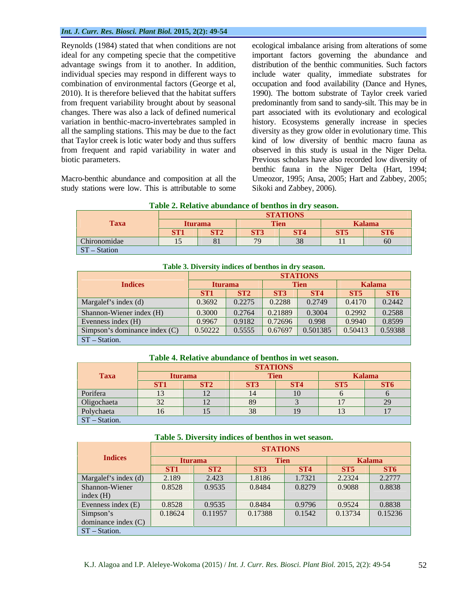#### *Int. J. Curr. Res. Biosci. Plant Biol.* **2015, 2(2): 49-54**

advantage swings from it to another. In addition,

study stations were low. This is attributable to some

Reynolds (1984) stated that when conditions are not ecological imbalance arising from alterations of some ideal for any competing specie that the competitive important factors governing the abundance and individual species may respond in different ways to include water quality, immediate substrates for combination of environmental factors (George et al, occupation and food availability (Dance and Hynes, 2010). It is therefore believed that the habitat suffers 1990). The bottom substrate of Taylor creek varied from frequent variability brought about by seasonal predominantly from sand to sandy-silt. This may be in changes. There was also a lack of defined numerical part associated with its evolutionary and ecological variation in benthic-macro-invertebrates sampled in history. Ecosystems generally increase in species all the sampling stations. This may be due to the fact diversity as they grow older in evolutionary time. This that Taylor creek is lotic water body and thus suffers kind of low diversity of benthic macro fauna as from frequent and rapid variability in water and observed in this study is usual in the Niger Delta. biotic parameters. Previous scholars have also recorded low diversity of Macro-benthic abundance and composition at all the Umeozor, 1995; Ansa, 2005; Hart and Zabbey,2005; distribution of the benthic communities. Such factors benthic fauna in the Niger Delta (Hart, 1994; Sikoki and Zabbey, 2006).

| <b>Table</b><br>e of benthos in dry season.<br><b>Relative</b><br>abundance : |  |
|-------------------------------------------------------------------------------|--|
|                                                                               |  |

|                | <b>STATIONS</b> |                 |     |                 |                 |                 |  |  |  |  |
|----------------|-----------------|-----------------|-----|-----------------|-----------------|-----------------|--|--|--|--|
| Taxa           |                 | Iturama         |     | T ICII          | <b>Kalama</b>   |                 |  |  |  |  |
|                | ST <sub>1</sub> | ST <sub>2</sub> | ST3 | ST <sub>4</sub> | ST <sub>5</sub> | ST <sub>6</sub> |  |  |  |  |
| Chironomidae   | $\sim$ $\sim$   |                 |     | 38              | 11              | 60              |  |  |  |  |
| $ST - Station$ |                 |                 |     |                 |                 |                 |  |  |  |  |

|                          | <b>STATIONS</b> |                 |                 |            |                 |        |  |  |  |  |
|--------------------------|-----------------|-----------------|-----------------|------------|-----------------|--------|--|--|--|--|
| <b>Indices</b>           | <b>Iturama</b>  |                 |                 |            | <b>Kalama</b>   |        |  |  |  |  |
|                          | ST <sub>1</sub> | ST <sub>2</sub> | ST <sub>3</sub> | <b>ST4</b> | ST <sub>5</sub> | ST6    |  |  |  |  |
| Margalef's index (d)     | 0.3692          | 0.2275          | 0.2288          | 0.2749     | 0.4170          | 0.2442 |  |  |  |  |
| Shannon-Wiener index (H) | 0.3000          | 0.2764          | 0.21889         | 0.3004     | 0.2992          | 0.2588 |  |  |  |  |
| Evenness index (H)       | 0.9967          | 0.9182          | 0.72696         | 0.998      | 0.9940          | 0.8599 |  |  |  |  |

**Table 3. Diversity indices of benthos in dry season.**

| <b>CON</b><br><b>Relative</b><br>Table<br>t benthos in wet season.<br>e abundance<br>. of |  |
|-------------------------------------------------------------------------------------------|--|
|-------------------------------------------------------------------------------------------|--|

 $ST - Station.$ 

|                                            | <b>STATIONS</b>                      |                 |                |                 |                 |                 |  |  |  |  |
|--------------------------------------------|--------------------------------------|-----------------|----------------|-----------------|-----------------|-----------------|--|--|--|--|
| <b>Taxa</b>                                | <b>Iturama</b>                       |                 |                | <b>Tien</b>     |                 | Kalama          |  |  |  |  |
|                                            | ST <sub>1</sub>                      | ST <sub>2</sub> | ST3            | ST <sub>4</sub> | ST <sub>5</sub> | ST <sub>6</sub> |  |  |  |  |
| Porifera                                   |                                      |                 | 1 <sub>A</sub> | $\overline{10}$ |                 |                 |  |  |  |  |
|                                            | $\Omega$<br>$\overline{\phantom{a}}$ | $\sim$          | $\Omega$       |                 | $\sim$          | 20              |  |  |  |  |
| Oligochaeta<br>Polychaeta<br>ST – Station. |                                      | $\sim$          | 28             |                 | $\sim$          | 17              |  |  |  |  |
|                                            |                                      |                 |                |                 |                 |                 |  |  |  |  |

|                      | <b>STATIONS</b> |                 |         |                 |                 |                 |  |  |  |
|----------------------|-----------------|-----------------|---------|-----------------|-----------------|-----------------|--|--|--|
| <b>Indices</b>       |                 | <b>Iturama</b>  |         | <b>Tien</b>     | <b>Kalama</b>   |                 |  |  |  |
|                      | ST <sub>1</sub> | ST <sub>2</sub> | ST3     | ST <sub>4</sub> | ST <sub>5</sub> | ST <sub>6</sub> |  |  |  |
| Margalef's index (d) | 2.189           | 2.423           | 1.8186  | 1.7321          | 2.2324          | 2.2777          |  |  |  |
| Shannon-Wiener       | 0.8528          | 0.9535          | 0.8484  | 0.8279          | 0.9088          | 0.8838          |  |  |  |
| index(H)             |                 |                 |         |                 |                 |                 |  |  |  |
| Evenness index (E)   | 0.8528          | 0.9535          | 0.8484  | 0.9796          | 0.9524          | 0.8838          |  |  |  |
| Simpson's            | 0.18624         | 0.11957         | 0.17388 | 0.1542          | 0.13734         | 0.15236         |  |  |  |
| dominance index (C)  |                 |                 |         |                 |                 |                 |  |  |  |
| ST-Station.          |                 |                 |         |                 |                 |                 |  |  |  |

Simpson s dominance index (C) 0.50222 0.5555 0.67697 0.501385 0.50413 0.59388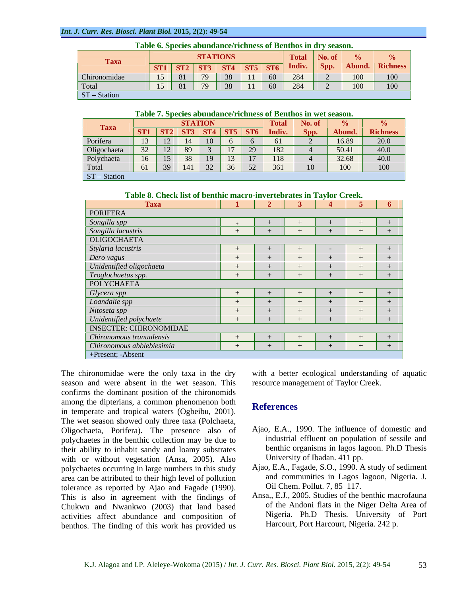#### *Int. J. Curr. Res. Biosci. Plant Biol.* **2015, 2(2): 49-54**

| Table 6. Species abundance/richness of Benthos in dry season. |  |                                 |  |  |  |    |                                                                                                                                  |      |        |          |
|---------------------------------------------------------------|--|---------------------------------|--|--|--|----|----------------------------------------------------------------------------------------------------------------------------------|------|--------|----------|
| <b>Taxa</b>                                                   |  | <b>STATIONS</b><br>Total No. of |  |  |  |    |                                                                                                                                  |      |        |          |
|                                                               |  |                                 |  |  |  |    | $\boxed{\text{ST1}$ $\boxed{\text{ST2}$ $\boxed{\text{ST3}$ $\boxed{\text{ST4}$ $\boxed{\text{ST5}$ $\boxed{\text{ST6}}}$ Indiv. | Spp. | Abund. | Richness |
| Chironomidae                                                  |  |                                 |  |  |  | 60 | 284                                                                                                                              |      | 100    | 100      |
| Total                                                         |  |                                 |  |  |  | 60 | 284                                                                                                                              |      | 100    | 100      |
| ST-Station                                                    |  |                                 |  |  |  |    |                                                                                                                                  |      |        |          |

### **Table 7. Species abundance/richness of Benthos in wet season.**

|             | <b>STATION</b><br>No. of<br><b>Total</b> |    |     |    |    |                                                                                 |        |           |       |                 |
|-------------|------------------------------------------|----|-----|----|----|---------------------------------------------------------------------------------|--------|-----------|-------|-----------------|
| <b>Taxa</b> |                                          |    |     |    |    | $\vert$ ST1 $\vert$ ST2 $\vert$ ST3 $\vert$ ST4 $\vert$ ST5 $\vert$ ST6 $\vert$ | Indiv. | Spp.      | Abund | <b>Richness</b> |
| Porifera    | 13                                       | 12 | 14  | 10 |    |                                                                                 |        |           | 16.89 | 20.0            |
| Oligochaeta | 32                                       | 12 | 89  |    | 17 | 29                                                                              | 182    |           | 50.41 | 40.0            |
| Polychaeta  | 16                                       | 15 | 38  | 19 | 13 |                                                                                 | 118    |           | 32.68 | 40.0            |
| Total       | 61                                       | 39 | 141 | 32 | 36 | 52                                                                              | 361    | $10^{-7}$ | 100   | 100             |
| ST-Station  |                                          |    |     |    |    |                                                                                 |        |           |       |                 |

**Table 8. Check list of benthic macro-invertebrates in Taylor Creek.**

| <b>Taxa</b>                   |  | $2 \mid 3 \mid$ | $\sim$ 4       | $\blacksquare$ |      |
|-------------------------------|--|-----------------|----------------|----------------|------|
| PORIFERA                      |  |                 |                |                |      |
| Songilla spp                  |  |                 |                |                |      |
| Songilla lacustris            |  |                 |                |                | $+1$ |
| OLIGOCHAETA                   |  |                 |                |                |      |
| Stylaria lacustris            |  |                 | $\sim$ $ \sim$ |                | $+$  |
| Dero vagus                    |  |                 |                |                |      |
| Unidentified oligochaeta      |  |                 | $+$            |                | $+$  |
| Troglochaetus spp.            |  |                 |                |                | $+$  |
| POLYCHAETA                    |  |                 |                |                |      |
| Glycera spp                   |  |                 |                |                |      |
| Loandalie spp                 |  |                 |                |                |      |
| Nitoseta spp                  |  |                 |                |                |      |
| Unidentified polychaete       |  |                 | $+$            |                | $+$  |
| <b>INSECTER: CHIRONOMIDAE</b> |  |                 |                |                |      |
| Chironomous tranualensis      |  |                 |                |                | $+$  |
| Chironomous abblebiesimia     |  |                 |                |                |      |
| +Present; -Absent             |  |                 |                |                |      |

season and were absent in the wet season. This confirms the dominant position of the chironomids among the dipterians, a common phenomenon both<br> **References** in temperate and tropical waters (Ogbeibu, 2001). The wet season showed only three taxa (Polchaeta, Oligochaeta, Porifera). The presence also of polychaetes in the benthic collection may be due to their ability to inhabit sandy and loamy substrates with or without vegetation (Ansa, 2005). Also polychaetes occurring in large numbers in this study area can be attributed to their high level of pollution and communities in Lagos and communities in Lagos and Fagade (1990) and Communities in Lagos and Fagade (1990) and Coll Chem. Pollut. 7, 85–117. tolerance as reported by Ajao and Fagade (1990). This is also in agreement with the findings of Chukwu and Nwankwo (2003) that land based activities affect abundance and composition of benthos. The finding of this work has provided us

The chironomidae were the only taxa in the dry with a better ecological understanding of aquatic resource management of Taylor Creek.

## **References**

- Ajao, E.A., 1990. The influence of domestic and industrial effluent on population of sessile and benthic organisms in lagos lagoon. Ph.D Thesis University of Ibadan. 411 pp.
- Ajao, E.A., Fagade, S.O., 1990. A study of sediment and communities in Lagos lagoon, Nigeria. J. Oil Chem. Pollut. 7, 85–117.
- Ansa,, E.J., 2005. Studies of the benthic macrofauna of the Andoni flats in the Niger Delta Area of Nigeria. Ph.D Thesis. University of Port Harcourt, Port Harcourt, Nigeria. 242 p.